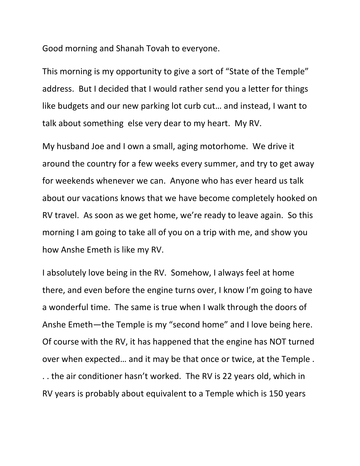Good morning and Shanah Tovah to everyone.

This morning is my opportunity to give a sort of "State of the Temple" address. But I decided that I would rather send you a letter for things like budgets and our new parking lot curb cut… and instead, I want to talk about something else very dear to my heart. My RV.

My husband Joe and I own a small, aging motorhome. We drive it around the country for a few weeks every summer, and try to get away for weekends whenever we can. Anyone who has ever heard us talk about our vacations knows that we have become completely hooked on RV travel. As soon as we get home, we're ready to leave again. So this morning I am going to take all of you on a trip with me, and show you how Anshe Emeth is like my RV.

I absolutely love being in the RV. Somehow, I always feel at home there, and even before the engine turns over, I know I'm going to have a wonderful time. The same is true when I walk through the doors of Anshe Emeth—the Temple is my "second home" and I love being here. Of course with the RV, it has happened that the engine has NOT turned over when expected… and it may be that once or twice, at the Temple . . . the air conditioner hasn't worked. The RV is 22 years old, which in RV years is probably about equivalent to a Temple which is 150 years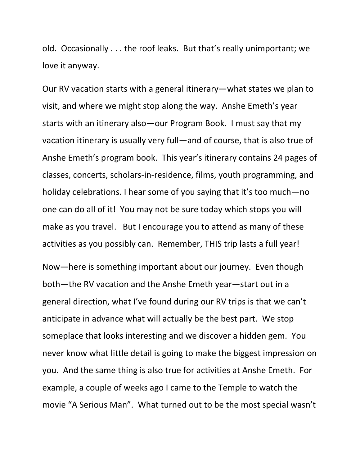old. Occasionally . . . the roof leaks. But that's really unimportant; we love it anyway.

Our RV vacation starts with a general itinerary—what states we plan to visit, and where we might stop along the way. Anshe Emeth's year starts with an itinerary also—our Program Book. I must say that my vacation itinerary is usually very full—and of course, that is also true of Anshe Emeth's program book. This year's itinerary contains 24 pages of classes, concerts, scholars-in-residence, films, youth programming, and holiday celebrations. I hear some of you saying that it's too much—no one can do all of it! You may not be sure today which stops you will make as you travel. But I encourage you to attend as many of these activities as you possibly can. Remember, THIS trip lasts a full year!

Now—here is something important about our journey. Even though both—the RV vacation and the Anshe Emeth year—start out in a general direction, what I've found during our RV trips is that we can't anticipate in advance what will actually be the best part. We stop someplace that looks interesting and we discover a hidden gem. You never know what little detail is going to make the biggest impression on you. And the same thing is also true for activities at Anshe Emeth. For example, a couple of weeks ago I came to the Temple to watch the movie "A Serious Man". What turned out to be the most special wasn't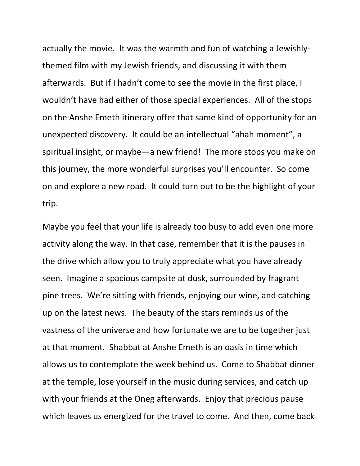actually the movie. It was the warmth and fun of watching a Jewishlythemed film with my Jewish friends, and discussing it with them afterwards. But if I hadn't come to see the movie in the first place, I wouldn't have had either of those special experiences. All of the stops on the Anshe Emeth itinerary offer that same kind of opportunity for an unexpected discovery. It could be an intellectual "ahah moment", a spiritual insight, or maybe—a new friend! The more stops you make on this journey, the more wonderful surprises you'll encounter. So come on and explore a new road. It could turn out to be the highlight of your trip.

Maybe you feel that your life is already too busy to add even one more activity along the way. In that case, remember that it is the pauses in the drive which allow you to truly appreciate what you have already seen. Imagine a spacious campsite at dusk, surrounded by fragrant pine trees. We're sitting with friends, enjoying our wine, and catching up on the latest news. The beauty of the stars reminds us of the vastness of the universe and how fortunate we are to be together just at that moment. Shabbat at Anshe Emeth is an oasis in time which allows us to contemplate the week behind us. Come to Shabbat dinner at the temple, lose yourself in the music during services, and catch up with your friends at the Oneg afterwards. Enjoy that precious pause which leaves us energized for the travel to come. And then, come back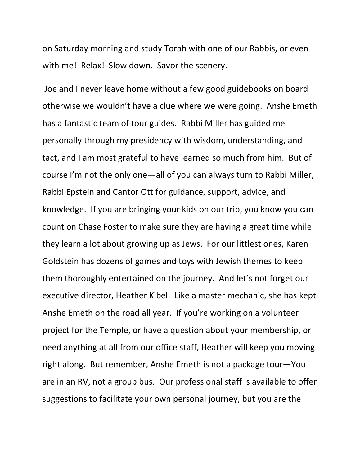on Saturday morning and study Torah with one of our Rabbis, or even with me! Relax! Slow down. Savor the scenery.

 Joe and I never leave home without a few good guidebooks on board otherwise we wouldn't have a clue where we were going. Anshe Emeth has a fantastic team of tour guides. Rabbi Miller has guided me personally through my presidency with wisdom, understanding, and tact, and I am most grateful to have learned so much from him. But of course I'm not the only one—all of you can always turn to Rabbi Miller, Rabbi Epstein and Cantor Ott for guidance, support, advice, and knowledge. If you are bringing your kids on our trip, you know you can count on Chase Foster to make sure they are having a great time while they learn a lot about growing up as Jews. For our littlest ones, Karen Goldstein has dozens of games and toys with Jewish themes to keep them thoroughly entertained on the journey. And let's not forget our executive director, Heather Kibel. Like a master mechanic, she has kept Anshe Emeth on the road all year. If you're working on a volunteer project for the Temple, or have a question about your membership, or need anything at all from our office staff, Heather will keep you moving right along. But remember, Anshe Emeth is not a package tour—You are in an RV, not a group bus. Our professional staff is available to offer suggestions to facilitate your own personal journey, but you are the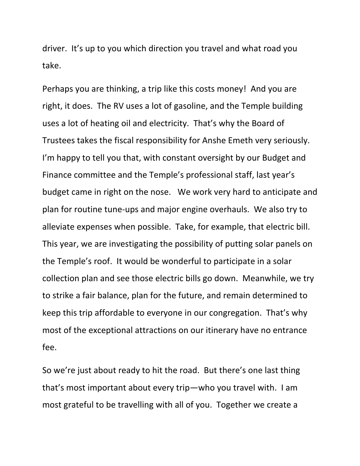driver. It's up to you which direction you travel and what road you take.

Perhaps you are thinking, a trip like this costs money! And you are right, it does. The RV uses a lot of gasoline, and the Temple building uses a lot of heating oil and electricity. That's why the Board of Trustees takes the fiscal responsibility for Anshe Emeth very seriously. I'm happy to tell you that, with constant oversight by our Budget and Finance committee and the Temple's professional staff, last year's budget came in right on the nose. We work very hard to anticipate and plan for routine tune-ups and major engine overhauls. We also try to alleviate expenses when possible. Take, for example, that electric bill. This year, we are investigating the possibility of putting solar panels on the Temple's roof. It would be wonderful to participate in a solar collection plan and see those electric bills go down. Meanwhile, we try to strike a fair balance, plan for the future, and remain determined to keep this trip affordable to everyone in our congregation. That's why most of the exceptional attractions on our itinerary have no entrance fee.

So we're just about ready to hit the road. But there's one last thing that's most important about every trip—who you travel with. I am most grateful to be travelling with all of you. Together we create a